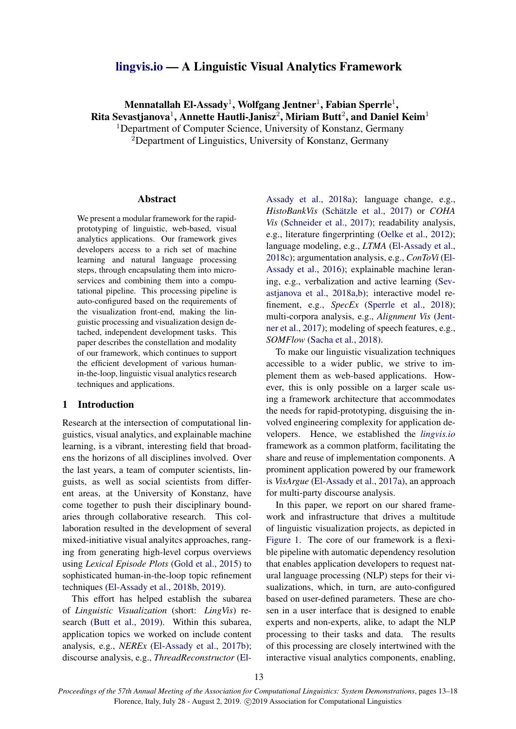# [lingvis.io](https://lingvis.io/) — A Linguistic Visual Analytics Framework

# Mennatallah El-Assady $^1$ , Wolfgang Jentner $^1$ , Fabian Sperrle $^1,$ Rita Sevastjanova $^1$ , Annette Hautli-Janisz $^2$ , Miriam Butt $^2$ , and Daniel Keim $^1$ <sup>1</sup>Department of Computer Science, University of Konstanz, Germany

 ${}^{2}$ Department of Linguistics, University of Konstanz, Germany

#### Abstract

We present a modular framework for the rapidprototyping of linguistic, web-based, visual analytics applications. Our framework gives developers access to a rich set of machine learning and natural language processing steps, through encapsulating them into microservices and combining them into a computational pipeline. This processing pipeline is auto-configured based on the requirements of the visualization front-end, making the linguistic processing and visualization design detached, independent development tasks. This paper describes the constellation and modality of our framework, which continues to support the efficient development of various humanin-the-loop, linguistic visual analytics research techniques and applications.

## 1 Introduction

Research at the intersection of computational linguistics, visual analytics, and explainable machine learning, is a vibrant, interesting field that broadens the horizons of all disciplines involved. Over the last years, a team of computer scientists, linguists, as well as social scientists from different areas, at the University of Konstanz, have come together to push their disciplinary boundaries through collaborative research. This collaboration resulted in the development of several mixed-initiative visual analyitcs approaches, ranging from generating high-level corpus overviews using *Lexical Episode Plots* [\(Gold et al.,](#page-5-0) [2015\)](#page-5-0) to sophisticated human-in-the-loop topic refinement techniques [\(El-Assady et al.,](#page-5-1) [2018b,](#page-5-1) [2019\)](#page-5-2).

This effort has helped establish the subarea of *Linguistic Visualization* (short: *LingVis*) research [\(Butt et al.,](#page-5-3) [2019\)](#page-5-3). Within this subarea, application topics we worked on include content analysis, e.g., *NEREx* [\(El-Assady et al.,](#page-5-4) [2017b\)](#page-5-4); discourse analysis, e.g., *ThreadReconstructor* [\(El-](#page-5-5)

[Assady et al.,](#page-5-5) [2018a\)](#page-5-5); language change, e.g., *HistoBankVis* (Schätzle et al., [2017\)](#page-5-6) or *COHA Vis* [\(Schneider et al.,](#page-5-7) [2017\)](#page-5-7); readability analysis, e.g., literature fingerprinting [\(Oelke et al.,](#page-5-8) [2012\)](#page-5-8); language modeling, e.g., *LTMA* [\(El-Assady et al.,](#page-5-9) [2018c\)](#page-5-9); argumentation analysis, e.g., *ConToVi* [\(El-](#page-5-10)[Assady et al.,](#page-5-10) [2016\)](#page-5-10); explainable machine leraning, e.g., verbalization and active learning [\(Sev](#page-5-11)[astjanova et al.,](#page-5-11) [2018a](#page-5-11)[,b\)](#page-5-12); interactive model refinement, e.g., *SpecEx* [\(Sperrle et al.,](#page-5-13) [2018\)](#page-5-13); multi-corpora analysis, e.g., *Alignment Vis* [\(Jent](#page-5-14)[ner et al.,](#page-5-14) [2017\)](#page-5-14); modeling of speech features, e.g., *SOMFlow* [\(Sacha et al.,](#page-5-15) [2018\)](#page-5-15).

To make our linguistic visualization techniques accessible to a wider public, we strive to implement them as web-based applications. However, this is only possible on a larger scale using a framework architecture that accommodates the needs for rapid-prototyping, disguising the involved engineering complexity for application developers. Hence, we established the *[lingvis.io](http://lingvis.io/)* framework as a common platform, facilitating the share and reuse of implementation components. A prominent application powered by our framework is *VisArgue* [\(El-Assady et al.,](#page-5-16) [2017a\)](#page-5-16), an approach for multi-party discourse analysis.

In this paper, we report on our shared framework and infrastructure that drives a multitude of linguistic visualization projects, as depicted in [Figure 1.](#page-1-0) The core of our framework is a flexible pipeline with automatic dependency resolution that enables application developers to request natural language processing (NLP) steps for their visualizations, which, in turn, are auto-configured based on user-defined parameters. These are chosen in a user interface that is designed to enable experts and non-experts, alike, to adapt the NLP processing to their tasks and data. The results of this processing are closely intertwined with the interactive visual analytics components, enabling,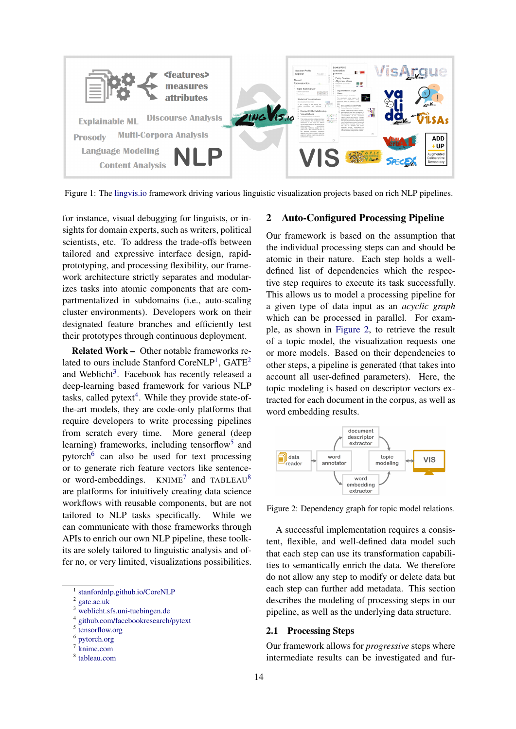<span id="page-1-0"></span>

Figure 1: The [lingvis.io](https://lingvis.io/) framework driving various linguistic visualization projects based on rich NLP pipelines.

for instance, visual debugging for linguists, or insights for domain experts, such as writers, political scientists, etc. To address the trade-offs between tailored and expressive interface design, rapidprototyping, and processing flexibility, our framework architecture strictly separates and modularizes tasks into atomic components that are compartmentalized in subdomains (i.e., auto-scaling cluster environments). Developers work on their designated feature branches and efficiently test their prototypes through continuous deployment.

Related Work – Other notable frameworks re-lated to ours include Stanford CoreNLP<sup>[1](#page-1-1)</sup>, GATE<sup>[2](#page-1-2)</sup> and Weblicht<sup>[3](#page-1-3)</sup>. Facebook has recently released a deep-learning based framework for various NLP tasks, called  $pytext{text}^4$  $pytext{text}^4$ . While they provide state-ofthe-art models, they are code-only platforms that require developers to write processing pipelines from scratch every time. More general (deep learning) frameworks, including tensorflow<sup>[5](#page-1-5)</sup> and pytorch<sup>[6](#page-1-6)</sup> can also be used for text processing or to generate rich feature vectors like sentenceor word-embeddings.  $KNIME^{7}$  $KNIME^{7}$  $KNIME^{7}$  and TABLEAU<sup>[8](#page-1-8)</sup> are platforms for intuitively creating data science workflows with reusable components, but are not tailored to NLP tasks specifically. While we can communicate with those frameworks through APIs to enrich our own NLP pipeline, these toolkits are solely tailored to linguistic analysis and offer no, or very limited, visualizations possibilities.

<span id="page-1-6"></span>6 [pytorch.org](https://pytorch.org/)

#### 2 Auto-Configured Processing Pipeline

Our framework is based on the assumption that the individual processing steps can and should be atomic in their nature. Each step holds a welldefined list of dependencies which the respective step requires to execute its task successfully. This allows us to model a processing pipeline for a given type of data input as an *acyclic graph* which can be processed in parallel. For example, as shown in [Figure 2,](#page-1-9) to retrieve the result of a topic model, the visualization requests one or more models. Based on their dependencies to other steps, a pipeline is generated (that takes into account all user-defined parameters). Here, the topic modeling is based on descriptor vectors extracted for each document in the corpus, as well as word embedding results.

<span id="page-1-9"></span>

Figure 2: Dependency graph for topic model relations.

A successful implementation requires a consistent, flexible, and well-defined data model such that each step can use its transformation capabilities to semantically enrich the data. We therefore do not allow any step to modify or delete data but each step can further add metadata. This section describes the modeling of processing steps in our pipeline, as well as the underlying data structure.

### 2.1 Processing Steps

Our framework allows for *progressive* steps where intermediate results can be investigated and fur-

<span id="page-1-1"></span><sup>1</sup> [stanfordnlp.github.io/CoreNLP](https://stanfordnlp.github.io/CoreNLP/)

<span id="page-1-2"></span><sup>2</sup> [gate.ac.uk](https://gate.ac.uk/)

<span id="page-1-3"></span><sup>3</sup> [weblicht.sfs.uni-tuebingen.de](https://weblicht.sfs.uni-tuebingen.de/)

<span id="page-1-4"></span><sup>4</sup> [github.com/facebookresearch/pytext](https://github.com/facebookresearch/pytext)

<span id="page-1-5"></span><sup>5</sup> [tensorflow.org](https://www.tensorflow.org/)

<span id="page-1-7"></span><sup>7</sup> [knime.com](https://www.knime.com/)

<span id="page-1-8"></span><sup>8</sup> [tableau.com](https://www.tableau.com/)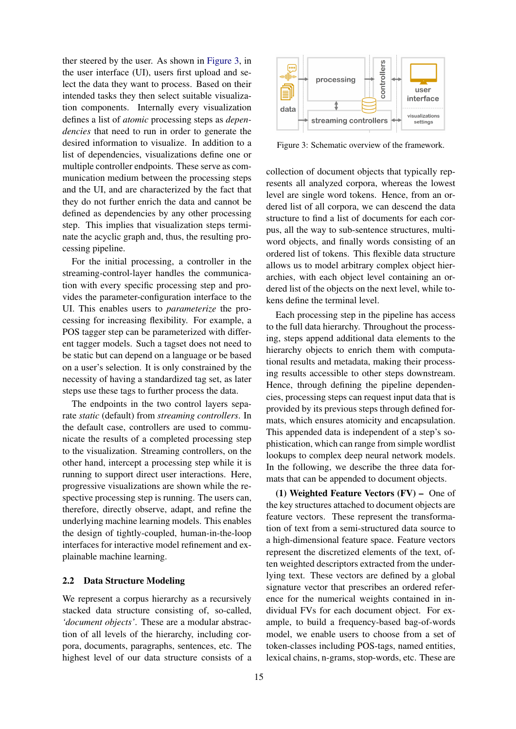ther steered by the user. As shown in [Figure 3,](#page-2-0) in the user interface (UI), users first upload and select the data they want to process. Based on their intended tasks they then select suitable visualization components. Internally every visualization defines a list of *atomic* processing steps as *dependencies* that need to run in order to generate the desired information to visualize. In addition to a list of dependencies, visualizations define one or multiple controller endpoints. These serve as communication medium between the processing steps and the UI, and are characterized by the fact that they do not further enrich the data and cannot be defined as dependencies by any other processing step. This implies that visualization steps terminate the acyclic graph and, thus, the resulting processing pipeline.

For the initial processing, a controller in the streaming-control-layer handles the communication with every specific processing step and provides the parameter-configuration interface to the UI. This enables users to *parameterize* the processing for increasing flexibility. For example, a POS tagger step can be parameterized with different tagger models. Such a tagset does not need to be static but can depend on a language or be based on a user's selection. It is only constrained by the necessity of having a standardized tag set, as later steps use these tags to further process the data.

The endpoints in the two control layers separate *static* (default) from *streaming controllers*. In the default case, controllers are used to communicate the results of a completed processing step to the visualization. Streaming controllers, on the other hand, intercept a processing step while it is running to support direct user interactions. Here, progressive visualizations are shown while the respective processing step is running. The users can, therefore, directly observe, adapt, and refine the underlying machine learning models. This enables the design of tightly-coupled, human-in-the-loop interfaces for interactive model refinement and explainable machine learning.

### 2.2 Data Structure Modeling

We represent a corpus hierarchy as a recursively stacked data structure consisting of, so-called, *'document objects'*. These are a modular abstraction of all levels of the hierarchy, including corpora, documents, paragraphs, sentences, etc. The highest level of our data structure consists of a

<span id="page-2-0"></span>

Figure 3: Schematic overview of the framework.

collection of document objects that typically represents all analyzed corpora, whereas the lowest level are single word tokens. Hence, from an ordered list of all corpora, we can descend the data structure to find a list of documents for each corpus, all the way to sub-sentence structures, multiword objects, and finally words consisting of an ordered list of tokens. This flexible data structure allows us to model arbitrary complex object hierarchies, with each object level containing an ordered list of the objects on the next level, while tokens define the terminal level.

Each processing step in the pipeline has access to the full data hierarchy. Throughout the processing, steps append additional data elements to the hierarchy objects to enrich them with computational results and metadata, making their processing results accessible to other steps downstream. Hence, through defining the pipeline dependencies, processing steps can request input data that is provided by its previous steps through defined formats, which ensures atomicity and encapsulation. This appended data is independent of a step's sophistication, which can range from simple wordlist lookups to complex deep neural network models. In the following, we describe the three data formats that can be appended to document objects.

(1) Weighted Feature Vectors (FV) – One of the key structures attached to document objects are feature vectors. These represent the transformation of text from a semi-structured data source to a high-dimensional feature space. Feature vectors represent the discretized elements of the text, often weighted descriptors extracted from the underlying text. These vectors are defined by a global signature vector that prescribes an ordered reference for the numerical weights contained in individual FVs for each document object. For example, to build a frequency-based bag-of-words model, we enable users to choose from a set of token-classes including POS-tags, named entities, lexical chains, n-grams, stop-words, etc. These are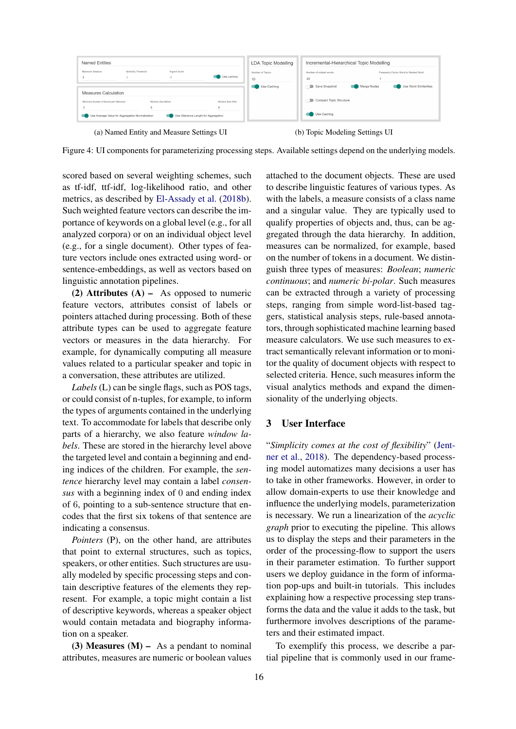<span id="page-3-0"></span>

Figure 4: UI components for parameterizing processing steps. Available settings depend on the underlying models.

scored based on several weighting schemes, such as tf-idf, ttf-idf, log-likelihood ratio, and other metrics, as described by [El-Assady et al.](#page-5-1) [\(2018b\)](#page-5-1). Such weighted feature vectors can describe the importance of keywords on a global level (e.g., for all analyzed corpora) or on an individual object level (e.g., for a single document). Other types of feature vectors include ones extracted using word- or sentence-embeddings, as well as vectors based on linguistic annotation pipelines.

(2) Attributes  $(A)$  – As opposed to numeric feature vectors, attributes consist of labels or pointers attached during processing. Both of these attribute types can be used to aggregate feature vectors or measures in the data hierarchy. For example, for dynamically computing all measure values related to a particular speaker and topic in a conversation, these attributes are utilized.

*Labels* (L) can be single flags, such as POS tags, or could consist of n-tuples, for example, to inform the types of arguments contained in the underlying text. To accommodate for labels that describe only parts of a hierarchy, we also feature *window labels*. These are stored in the hierarchy level above the targeted level and contain a beginning and ending indices of the children. For example, the *sentence* hierarchy level may contain a label *consensus* with a beginning index of 0 and ending index of 6, pointing to a sub-sentence structure that encodes that the first six tokens of that sentence are indicating a consensus.

*Pointers* (P), on the other hand, are attributes that point to external structures, such as topics, speakers, or other entities. Such structures are usually modeled by specific processing steps and contain descriptive features of the elements they represent. For example, a topic might contain a list of descriptive keywords, whereas a speaker object would contain metadata and biography information on a speaker.

(3) Measures  $(M)$  – As a pendant to nominal attributes, measures are numeric or boolean values

attached to the document objects. These are used to describe linguistic features of various types. As with the labels, a measure consists of a class name and a singular value. They are typically used to qualify properties of objects and, thus, can be aggregated through the data hierarchy. In addition, measures can be normalized, for example, based on the number of tokens in a document. We distinguish three types of measures: *Boolean*; *numeric continuous*; and *numeric bi-polar*. Such measures can be extracted through a variety of processing steps, ranging from simple word-list-based taggers, statistical analysis steps, rule-based annotators, through sophisticated machine learning based measure calculators. We use such measures to extract semantically relevant information or to monitor the quality of document objects with respect to selected criteria. Hence, such measures inform the visual analytics methods and expand the dimensionality of the underlying objects.

### 3 User Interface

"*Simplicity comes at the cost of flexibility*" [\(Jent](#page-5-17)[ner et al.,](#page-5-17) [2018\)](#page-5-17). The dependency-based processing model automatizes many decisions a user has to take in other frameworks. However, in order to allow domain-experts to use their knowledge and influence the underlying models, parameterization is necessary. We run a linearization of the *acyclic graph* prior to executing the pipeline. This allows us to display the steps and their parameters in the order of the processing-flow to support the users in their parameter estimation. To further support users we deploy guidance in the form of information pop-ups and built-in tutorials. This includes explaining how a respective processing step transforms the data and the value it adds to the task, but furthermore involves descriptions of the parameters and their estimated impact.

To exemplify this process, we describe a partial pipeline that is commonly used in our frame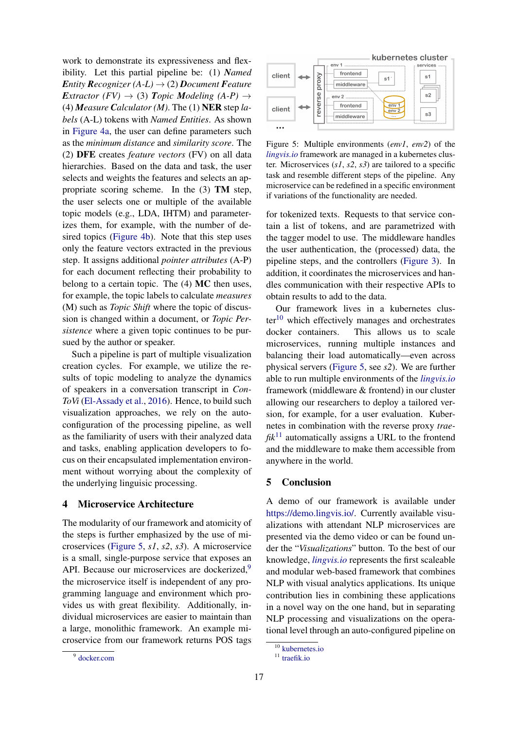work to demonstrate its expressiveness and flexibility. Let this partial pipeline be: (1) *Named Entity Recognizer* (A-*L*)  $\rightarrow$  (2) *Document Feature Extractor* (*FV*)  $\rightarrow$  (3) *Topic Modeling* (*A-P*)  $\rightarrow$ (4) *Measure Calculator (M)*. The (1) NER step *labels* (A-L) tokens with *Named Entities*. As shown in [Figure 4a,](#page-3-0) the user can define parameters such as the *minimum distance* and *similarity score*. The (2) DFE creates *feature vectors* (FV) on all data hierarchies. Based on the data and task, the user selects and weights the features and selects an appropriate scoring scheme. In the (3) TM step, the user selects one or multiple of the available topic models (e.g., LDA, IHTM) and parameterizes them, for example, with the number of desired topics [\(Figure 4b\)](#page-3-0). Note that this step uses only the feature vectors extracted in the previous step. It assigns additional *pointer attributes* (A-P) for each document reflecting their probability to belong to a certain topic. The (4) MC then uses, for example, the topic labels to calculate *measures* (M) such as *Topic Shift* where the topic of discussion is changed within a document, or *Topic Persistence* where a given topic continues to be pursued by the author or speaker.

Such a pipeline is part of multiple visualization creation cycles. For example, we utilize the results of topic modeling to analyze the dynamics of speakers in a conversation transcript in *Con-ToVi* [\(El-Assady et al.,](#page-5-10) [2016\)](#page-5-10). Hence, to build such visualization approaches, we rely on the autoconfiguration of the processing pipeline, as well as the familiarity of users with their analyzed data and tasks, enabling application developers to focus on their encapsulated implementation environment without worrying about the complexity of the underlying linguisic processing.

#### 4 Microservice Architecture

<span id="page-4-1"></span>9 [docker.com](https://www.docker.com/)

The modularity of our framework and atomicity of the steps is further emphasized by the use of microservices [\(Figure 5,](#page-4-0) *s1*, *s2*, *s3*). A microservice is a small, single-purpose service that exposes an API. Because our microservices are dockerized,<sup>[9](#page-4-1)</sup> the microservice itself is independent of any programming language and environment which provides us with great flexibility. Additionally, individual microservices are easier to maintain than a large, monolithic framework. An example microservice from our framework returns POS tags

Figure 5: Multiple environments (*env1*, *env2*) of the *[lingvis.io](http://lingvis.io/)* framework are managed in a kubernetes cluster. Microservices (*s1*, *s2*, *s3*) are tailored to a specific task and resemble different steps of the pipeline. Any microservice can be redefined in a specific environment if variations of the functionality are needed.

for tokenized texts. Requests to that service contain a list of tokens, and are parametrized with the tagger model to use. The middleware handles the user authentication, the (processed) data, the pipeline steps, and the controllers [\(Figure 3\)](#page-2-0). In addition, it coordinates the microservices and handles communication with their respective APIs to obtain results to add to the data.

Our framework lives in a kubernetes clus- $ter<sup>10</sup>$  $ter<sup>10</sup>$  $ter<sup>10</sup>$  which effectively manages and orchestrates docker containers. This allows us to scale microservices, running multiple instances and balancing their load automatically—even across physical servers [\(Figure 5,](#page-4-0) see *s2*). We are further able to run multiple environments of the *[lingvis.io](http://lingvis.io/)* framework (middleware & frontend) in our cluster allowing our researchers to deploy a tailored version, for example, for a user evaluation. Kubernetes in combination with the reverse proxy *trae-* $fik<sup>11</sup>$  $fik<sup>11</sup>$  $fik<sup>11</sup>$  automatically assigns a URL to the frontend and the middleware to make them accessible from anywhere in the world.

## 5 Conclusion

A demo of our framework is available under [https://demo.lingvis.io/.](https://demo.lingvis.io/) Currently available visualizations with attendant NLP microservices are presented via the demo video or can be found under the "*Visualizations*" button. To the best of our knowledge, *[lingvis.io](http://lingvis.io/)* represents the first scaleable and modular web-based framework that combines NLP with visual analytics applications. Its unique contribution lies in combining these applications in a novel way on the one hand, but in separating NLP processing and visualizations on the operational level through an auto-configured pipeline on

17

<span id="page-4-0"></span>kubernetes cluster  $env<sub>1</sub>$ rvice frontend client proxy  $s<sub>1</sub>$  $s<sub>1</sub>$ middleware reverse  $s2$  $env2$ frontend eny client  $env<sub>2</sub>$  $s3$ middleware  $\ddotsc$ 

<span id="page-4-2"></span> $\overline{10}$  [kubernetes.io](https://kubernetes.io/)

<span id="page-4-3"></span><sup>&</sup>lt;sup>11</sup> [traefik.io](https://traefik.io/)